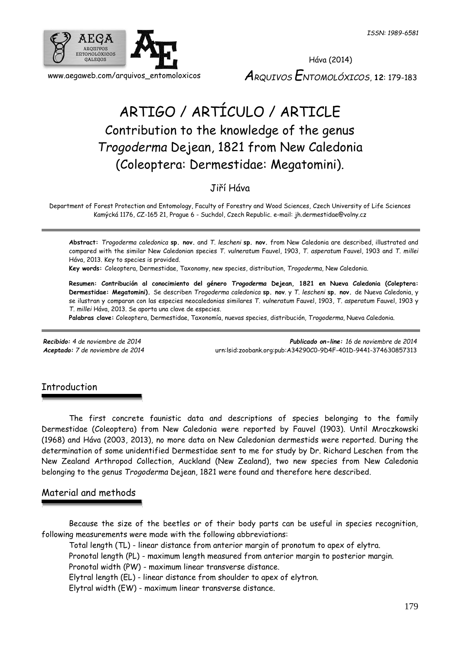

# ARTIGO / ARTÍCULO / ARTICLE Contribution to the knowledge of the genus *Trogoderma* Dejean, 1821 from New Caledonia (Coleoptera: Dermestidae: Megatomini).

# Jiří Háva

Department of Forest Protection and Entomology, Faculty of Forestry and Wood Sciences, Czech University of Life Sciences Kamýcká 1176, CZ-165 21, Prague 6 - Suchdol, Czech Republic. e-mail: jh.dermestidae@volny.cz

**Abstract:** *Trogoderma caledonica* **sp. nov.** and *T. lescheni* **sp. nov.** from New Caledonia are described, illustrated and compared with the similar New Caledonian species *T. vulneratum* Fauvel, 1903, *T. asperatum* Fauvel, 1903 and *T. millei* Háva, 2013. Key to species is provided.

**Key words:** Coleoptera, Dermestidae, Taxonomy, new species, distribution, *Trogoderma*, New Caledonia.

**Resumen: Contribución al conocimiento del género** *Trogoderma* **Dejean, 1821 en Nueva Caledonia (Coleptera: Dermestidae: Megatomini).** Se describen *Trogoderma caledonica* **sp. nov**. y *T. lescheni* **sp. nov.** de Nueva Caledonia, y se ilustran y comparan con las especies neocaledonias similares *T. vulneratum* Fauvel, 1903, *T. asperatum* Fauvel, 1903 y *T. millei* Háva, 2013. Se aporta una clave de especies.

**Palabras clave:** Coleoptera, Dermestidae, Taxonomía, nuevas species, distribución, *Trogoderma*, Nueva Caledonia.

*Recibido: 4 de noviembre de 2014 Publicado on-line: 16 de noviembre de 2014 Aceptado: 7 de noviembre de 2014* [urn:lsid:zoobank.org:pub:A34290C0-9D4F-401D-9441-374630857313](http://www.zoobank.org/urn:lsid:zoobank.org:pub:A34290C0-9D4F-401D-9441-374630857313)

# **Introduction**

The first concrete faunistic data and descriptions of species belonging to the family Dermestidae (Coleoptera) from New Caledonia were reported by Fauvel (1903). Until Mroczkowski (1968) and Háva (2003, 2013), no more data on New Caledonian dermestids were reported. During the determination of some unidentified Dermestidae sent to me for study by Dr. Richard Leschen from the New Zealand Arthropod Collection, Auckland (New Zealand), two new species from New Caledonia belonging to the genus *Trogoderma* Dejean, 1821 were found and therefore here described.

# Material and methods

Because the size of the beetles or of their body parts can be useful in species recognition, following measurements were made with the following abbreviations:

Total length (TL) - linear distance from anterior margin of pronotum to apex of elytra.

Pronotal length (PL) - maximum length measured from anterior margin to posterior margin.

Pronotal width (PW) - maximum linear transverse distance.

Elytral length (EL) - linear distance from shoulder to apex of elytron.

Elytral width (EW) - maximum linear transverse distance.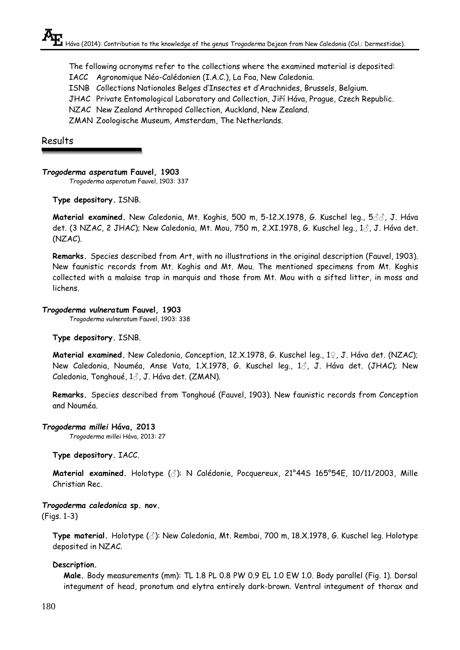The following acronyms refer to the collections where the examined material is deposited:

IACC Agronomique Néo-Calédonien (I.A.C.), La Foa, New Caledonia.

ISNB Collections Nationales Belges d'Insectes et d'Arachnides, Brussels, Belgium.

JHAC Private Entomological Laboratory and Collection, Jiří Háva, Prague, Czech Republic.

NZAC New Zealand Arthropod Collection, Auckland, New Zealand.

ZMAN Zoologische Museum, Amsterdam, The Netherlands.

# Results

### *Trogoderma asperatum* **Fauvel, 1903**

*Trogoderma asperatum* Fauvel, 1903: 337

### **Type depository.** ISNB.

**Material examined.** New Caledonia, Mt. Koghis, 500 m, 5-12.X.1978, G. Kuschel leg., 5♂♂, J. Háva det. (3 NZAC, 2 JHAC); New Caledonia, Mt. Mou, 750 m, 2.XI.1978, G. Kuschel leg.,  $1\%$ , J. Háva det. (NZAC).

**Remarks.** Species described from Art, with no illustrations in the original description (Fauvel, 1903). New faunistic records from Mt. Koghis and Mt. Mou. The mentioned specimens from Mt. Koghis collected with a malaise trap in marquis and those from Mt. Mou with a sifted litter, in moss and lichens.

### *Trogoderma vulneratum* **Fauvel, 1903**

*Trogoderma vulneratum* Fauvel, 1903: 338

### **Type depository.** ISNB.

**Material examined.** New Caledonia, Conception, 12.X.1978, G. Kuschel leg., 1♀, J. Háva det. (NZAC); New Caledonia, Nouméa, Anse Vata, 1.X.1978, G. Kuschel leg., 1♂, J. Háva det. (JHAC); New Caledonia, Tonghoué, 1♂, J. Háva det. (ZMAN).

**Remarks.** Species described from Tonghoué (Fauvel, 1903). New faunistic records from Conception and Nouméa.

### *Trogoderma millei* **Háva, 2013**

*Trogoderma millei* Háva, 2013: 27

### **Type depository.** IACC.

**Material examined.** Holotype (♂): N Calédonie, Pocquereux, 21°44S 165°54E, 10/11/2003, Mille Christian Rec.

# *Trogoderma caledonica* **sp. nov.**

(Figs. 1-3)

**Type material.** Holotype (♂): New Caledonia, Mt. Rembai, 700 m, 18.X.1978, G. Kuschel leg. Holotype deposited in NZAC.

### **Description.**

**Male.** Body measurements (mm): TL 1.8 PL 0.8 PW 0.9 EL 1.0 EW 1.0. Body parallel (Fig. 1). Dorsal integument of head, pronotum and elytra entirely dark-brown. Ventral integument of thorax and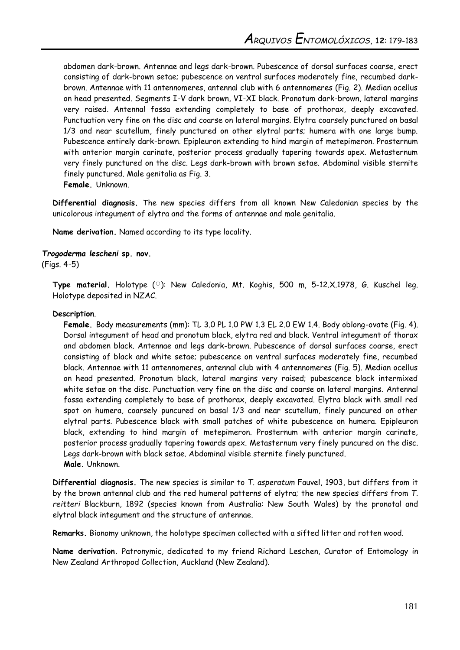abdomen dark-brown. Antennae and legs dark-brown. Pubescence of dorsal surfaces coarse, erect consisting of dark-brown setae; pubescence on ventral surfaces moderately fine, recumbed darkbrown. Antennae with 11 antennomeres, antennal club with 6 antennomeres (Fig. 2). Median ocellus on head presented. Segments I-V dark brown, VI-XI black. Pronotum dark-brown, lateral margins very raised. Antennal fossa extending completely to base of prothorax, deeply excavated. Punctuation very fine on the disc and coarse on lateral margins. Elytra coarsely punctured on basal 1/3 and near scutellum, finely punctured on other elytral parts; humera with one large bump. Pubescence entirely dark-brown. Epipleuron extending to hind margin of metepimeron. Prosternum with anterior margin carinate, posterior process gradually tapering towards apex. Metasternum very finely punctured on the disc. Legs dark-brown with brown setae. Abdominal visible sternite finely punctured. Male genitalia as Fig. 3.

**Female.** Unknown.

**Differential diagnosis.** The new species differs from all known New Caledonian species by the unicolorous integument of elytra and the forms of antennae and male genitalia.

**Name derivation.** Named according to its type locality.

#### *Trogoderma lescheni* **sp. nov.**

(Figs. 4-5)

**Type material.** Holotype (♀): New Caledonia, Mt. Koghis, 500 m, 5-12.X.1978, G. Kuschel leg. Holotype deposited in NZAC.

#### **Description**.

**Female.** Body measurements (mm): TL 3.0 PL 1.0 PW 1.3 EL 2.0 EW 1.4. Body oblong-ovate (Fig. 4). Dorsal integument of head and pronotum black, elytra red and black. Ventral integument of thorax and abdomen black. Antennae and legs dark-brown. Pubescence of dorsal surfaces coarse, erect consisting of black and white setae; pubescence on ventral surfaces moderately fine, recumbed black. Antennae with 11 antennomeres, antennal club with 4 antennomeres (Fig. 5). Median ocellus on head presented. Pronotum black, lateral margins very raised; pubescence black intermixed white setae on the disc. Punctuation very fine on the disc and coarse on lateral margins. Antennal fossa extending completely to base of prothorax, deeply excavated. Elytra black with small red spot on humera, coarsely puncured on basal 1/3 and near scutellum, finely puncured on other elytral parts. Pubescence black with small patches of white pubescence on humera. Epipleuron black, extending to hind margin of metepimeron. Prosternum with anterior margin carinate, posterior process gradually tapering towards apex. Metasternum very finely puncured on the disc. Legs dark-brown with black setae. Abdominal visible sternite finely punctured. **Male.** Unknown.

**Differential diagnosis.** The new species is similar to *T. asperatum* Fauvel, 1903, but differs from it by the brown antennal club and the red humeral patterns of elytra; the new species differs from *T. reitteri* Blackburn, 1892 (species known from Australia: New South Wales) by the pronotal and elytral black integument and the structure of antennae.

**Remarks.** Bionomy unknown, the holotype specimen collected with a sifted litter and rotten wood.

**Name derivation.** Patronymic, dedicated to my friend Richard Leschen, Curator of Entomology in New Zealand Arthropod Collection, Auckland (New Zealand).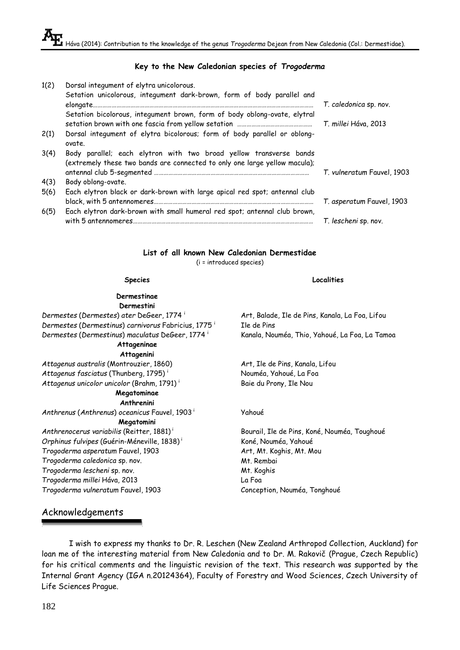#### **Key to the New Caledonian species of** *Trogoderma*

| 1(2) | Dorsal integument of elytra unicolorous.                                           |                            |
|------|------------------------------------------------------------------------------------|----------------------------|
|      | Setation unicolorous, integument dark-brown, form of body parallel and             |                            |
|      |                                                                                    | T. caledonica sp. nov.     |
|      | Setation bicolorous, integument brown, form of body oblong-ovate, elytral          | T. millei Háva, 2013       |
| 2(1) | Dorsal integument of elytra bicolorous; form of body parallel or oblong-<br>ovate. |                            |
| 3(4) | Body parallel; each elytron with two broad yellow transverse bands                 |                            |
|      | (extremely these two bands are connected to only one large yellow macula);         |                            |
|      |                                                                                    | T. vulneratum Fauvel, 1903 |
| 4(3) | Body oblong-ovate.                                                                 |                            |
| 5(6) | Each elytron black or dark-brown with large apical red spot; antennal club         |                            |
|      |                                                                                    | T. asperatum Fauvel, 1903  |
| 6(5) | Each elytron dark-brown with small humeral red spot; antennal club brown,          |                            |
|      |                                                                                    | T. lescheni sp. nov.       |

#### **List of all known New Caledonian Dermestidae**

(i = introduced species)

#### **Species Localities**

#### **Dermestinae Dermestini**

*Dermestes* (*Dermestes*) *ater* DeGeer, 1774 <sup>i</sup> Art, Balade, Ile de Pins, Kanala, La Foa, Lifou *Dermestes* (*Dermestinus*) *carnivorus* Fabricius, 1775 <sup>i</sup> *Dermestes* (*Dermestinus*) *maculatus* DeGeer, 1774 <sup>i</sup> Kanala, Nouméa, Thio, Yahoué, La Foa, La Tamoa

# **Attageninae**

**Attagenini**

*Attagenus australis* (Montrouzier, 1860) Art, Ile de Pins, Kanala, Lifou *Attagenus fasciatus* (Thunberg, 1795) <sup>i</sup> Nouméa, Yahoué, La Foa Attagenus unicolor unicolor (Brahm, 1791)<sup>i</sup> Baie du Prony, Ile Nou

#### **Megatominae Anthrenini**

*Anthrenus* (*Anthrenus*) *oceanicus* Fauvel, 1903 <sup>i</sup> Yahoué **Megatomini** *Anthrenocerus variabilis* (Reitter, 1881)<sup>i</sup> Bourail, Ile de Pins, Koné, Nouméa, Toughoué *Orphinus fulvipes* (Guérin-Méneville, 1838)<sup>i</sup> Koné, Nouméa, Yahoué

**Trogoderma caledonica sp. nov.** Mt. Rembai *Trogoderma lescheni* sp. nov. Mt. Koghis *Trogoderma millei* Háva, 2013 La Foa *Trogoderma vulneratum* Fauvel, 1903 Conception, Nouméa, Tonghoué

Ile de Pins

*Trogoderma asperatum* Fauvel, 1903 Art, Mt. Koghis, Mt. Mou

# Acknowledgements

I wish to express my thanks to Dr. R. Leschen (New Zealand Arthropod Collection, Auckland) for loan me of the interesting material from New Caledonia and to Dr. M. Rakovič (Prague, Czech Republic) for his critical comments and the linguistic revision of the text. This research was supported by the Internal Grant Agency (IGA n.20124364), Faculty of Forestry and Wood Sciences, Czech University of Life Sciences Prague.